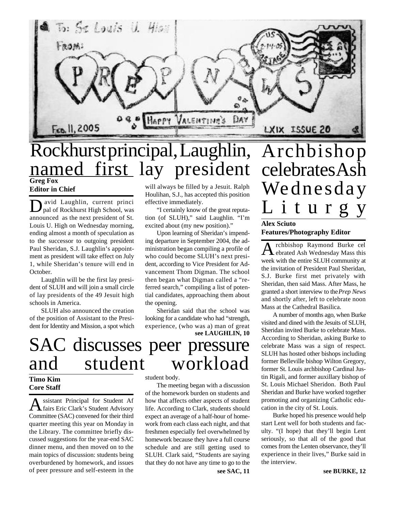

### **Greg Fox Editor in Chief** Rockhurst principal, Laughlin, named first lay president

 $\mathbf{D}$ avid Laughlin, current princi<br>pal of Rockhurst High School, was avid Laughlin, current princi announced as the next president of St. Louis U. High on Wednesday morning, ending almost a month of speculation as to the successor to outgoing president Paul Sheridan, S.J. Laughlin's appointment as president will take effect on July 1, while Sheridan's tenure will end in October.

Laughlin will be the first lay president of SLUH and will join a small circle of lay presidents of the 49 Jesuit high schools in America.

SLUH also announced the creation of the position of Assistant to the President for Identity and Mission, a spot which

# SAC discusses peer pressure and student workload

### **Timo Kim Core Staff**

A ssistant Principal for Student Af ssistant Principal for Student Af Committee (SAC) convened for their third quarter meeting this year on Monday in the Library. The committee briefly discussed suggestions for the year-end SAC dinner menu, and then moved on to the main topics of discussion: students being overburdened by homework, and issues of peer pressure and self-esteem in the

will always be filled by a Jesuit. Ralph Houlihan, S.J., has accepted this position effective immediately.

"I certainly know of the great reputation (of SLUH)," said Laughlin. "I'm excited about (my new position)."

Upon learning of Sheridan's impending departure in September 2004, the administration began compiling a profile of who could become SLUH's next president, according to Vice President for Advancement Thom Digman. The school then began what Digman called a "referred search," compiling a list of potential candidates, approaching them about the opening.

**see LAUGHLIN, 10** Sheridan said that the school was looking for a candidate who had "strength, experience, (who was a) man of great

student body.

The meeting began with a discussion of the homework burden on students and how that affects other aspects of student life. According to Clark, students should expect an average of a half-hour of homework from each class each night, and that freshmen especially feel overwhelmed by homework because they have a full course schedule and are still getting used to SLUH. Clark said, "Students are saying that they do not have any time to go to the celebrates Ash Wednesday L i t u r g y

### **Alex Sciuto Features/Photography Editor**

A rchbishop Raymond Burke cel rchbishop Raymond Burke cel week with the entire SLUH community at the invitation of President Paul Sheridan, S.J. Burke first met privately with Sheridan, then said Mass. After Mass, he granted a short interview to the *Prep News* and shortly after, left to celebrate noon Mass at the Cathedral Basilica.

A number of months ago, when Burke visited and dined with the Jesuits of SLUH, Sheridan invited Burke to celebrate Mass. According to Sheridan, asking Burke to celebrate Mass was a sign of respect. SLUH has hosted other bishops including former Belleville bishop Wilton Gregory, former St. Louis archbishop Cardinal Justin Rigali, and former auxillary bishop of St. Louis Michael Sheridon. Both Paul Sheridan and Burke have worked together promoting and organizing Catholic education in the city of St. Louis.

Burke hoped his presence would help start Lent well for both students and faculty. "(I hope) that they'll begin Lent seriously, so that all of the good that comes from the Lenten observance, they'll experience in their lives," Burke said in the interview.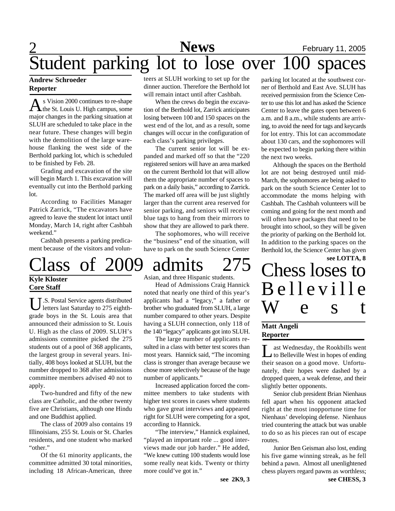## 2 **News** February 11, 2005 Student parking lot to lose over 100 spaces

### **Andrew Schroeder Reporter**

As Vision 2000 continues to re-shape<br>the St. Louis U. High campus, some s Vision 2000 continues to re-shape major changes in the parking situation at SLUH are scheduled to take place in the near future. These changes will begin with the demolition of the large warehouse flanking the west side of the Berthold parking lot, which is scheduled to be finished by Feb. 28.

Grading and excavation of the site will begin March 1. This excavation will eventually cut into the Berthold parking lot.

According to Facilities Manager Patrick Zarrick, "The excavators have agreed to leave the student lot intact until Monday, March 14, right after Cashbah weekend."

Cashbah presents a parking predicament because of the visitors and volun-

# Class of 2009 admits 275 Chess loses to

**Kyle Kloster Core Staff**

U.S. Postal Service agents distributed<br>letters last Saturday to 275 eighth-.S. Postal Service agents distributed grade boys in the St. Louis area that announced their admission to St. Louis U. High as the class of 2009. SLUH's admissions committee picked the 275 students out of a pool of 368 applicants, the largest group in several years. Initially, 408 boys looked at SLUH, but the number dropped to 368 after admissions committee members advised 40 not to apply.

Two-hundred and fifty of the new class are Catholic, and the other twenty five are Christians, although one Hindu and one Buddhist applied.

The class of 2009 also contains 19 Illinoisians, 255 St. Louis or St. Charles residents, and one student who marked "other."

Of the 61 minority applicants, the committee admitted 30 total minorities, including 18 African-American, three teers at SLUH working to set up for the dinner auction. Therefore the Berthold lot will remain intact until after Cashbah.

When the crews do begin the excavation of the Berthold lot, Zarrick anticipates losing between 100 and 150 spaces on the west end of the lot, and as a result, some changes will occur in the configuration of each class's parking privileges.

The current senior lot will be expanded and marked off so that the "220 registered seniors will have an area marked on the current Berthold lot that will allow them the appropriate number of spaces to park on a daily basis," according to Zarrick. The marked off area will be just slightly larger than the current area reserved for senior parking, and seniors will receive blue tags to hang from their mirrors to show that they are allowed to park there.

The sophomores, who will receive the "business" end of the situation, will have to park on the south Science Center

Asian, and three Hispanic students.

Head of Admissions Craig Hannick noted that nearly one third of this year's applicants had a "legacy," a father or brother who graduated from SLUH, a large number compared to other years. Despite having a SLUH connection, only 118 of the 140 "legacy" applicants got into SLUH.

The large number of applicants resulted in a class with better test scores than most years. Hannick said, "The incoming class is stronger than average because we chose more selectively because of the huge number of applicants."

Increased application forced the committee members to take students with higher test scores in cases where students who gave great interviews and appeared right for SLUH were competing for a spot, according to Hannick.

"The interview," Hannick explained, "played an important role ... good interviews made our job harder." He added, "We knew cutting 100 students would lose some really neat kids. Twenty or thirty more could've got in."

**see 2K9, 3**

parking lot located at the southwest corner of Berthold and East Ave. SLUH has received permission from the Science Center to use this lot and has asked the Science Center to leave the gates open between 6 a.m. and 8 a.m., while students are arriving, to avoid the need for tags and keycards for lot entry. This lot can accommodate about 130 cars, and the sophomores will be expected to begin parking there within the next two weeks.

Although the spaces on the Berthold lot are not being destroyed until mid-March, the sophomores are being asked to park on the south Science Center lot to accommodate the moms helping with Cashbah. The Cashbah volunteers will be coming and going for the next month and will often have packages that need to be brought into school, so they will be given the priority of parking on the Berthold lot. In addition to the parking spaces on the Berthold lot, the Science Center has given

Chess loses to Belleville W e s t

### **Matt Angeli Reporter**

Let Wednesday, the Rookbills went<br>to Belleville West in hopes of ending ast Wednesday, the Rookbills went their season on a good move. Unfortunately, their hopes were dashed by a dropped queen, a weak defense, and their slightly better opponents.

Senior club president Brian Nienhaus fell apart when his opponent attacked right at the most inopportune time for Nienhaus' developing defense. Nienhaus tried countering the attack but was unable to do so as his pieces ran out of escape routes.

Junior Ben Geisman also lost, ending his five game winning streak, as he fell behind a pawn. Almost all unenlightened chess players regard pawns as worthless;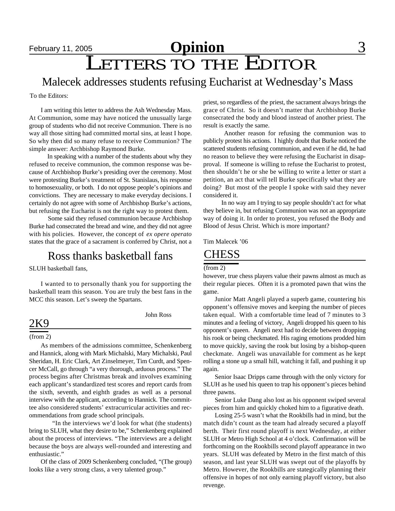## **February 11, 2005 Opinion** 3 LETTERS TO THE EDITOR

### Malecek addresses students refusing Eucharist at Wednesday's Mass

To the Editors:

I am writing this letter to address the Ash Wednesday Mass. At Communion, some may have noticed the unusually large group of students who did not receive Communion. There is no way all those sitting had committed mortal sins, at least I hope. So why then did so many refuse to receive Communion? The simple answer: Archbishop Raymond Burke.

 In speaking with a number of the students about why they refused to receive communion, the common response was because of Archbishop Burke's presiding over the ceremony. Most were protesting Burke's treatment of St. Stanislaus, his response to homosexuality, or both. I do not oppose people's opinions and convictions. They are necessary to make everyday decisions. I certainly do not agree with some of Archbishop Burke's actions, but refusing the Eucharist is not the right way to protest them.

 Some said they refused communion because Archbishop Burke had consecrated the bread and wine, and they did not agree with his policies. However, the concept of *ex opere operato* states that the grace of a sacrament is conferred by Christ, not a

## Ross thanks basketball fans CHESS

SLUH basketball fans,

I wanted to to personally thank you for supporting the basketball team this season. You are truly the best fans in the MCC this season. Let's sweep the Spartans.

John Ross

### 2K9

#### (from 2)

As members of the admissions committee, Schenkenberg and Hannick, along with Mark Michalski, Mary Michalski, Paul Sheridan, H. Eric Clark, Art Zinselmeyer, Tim Curdt, and Spencer McCall, go through "a very thorough, arduous process." The process begins after Christmas break and involves examining each applicant's standardized test scores and report cards from the sixth, seventh, and eighth grades as well as a personal interview with the applicant, according to Hannick. The committee also considered students' extracurricular activities and recommendations from grade school principals.

"In the interviews we'd look for what (the students) bring to SLUH, what they desire to be," Schenkenberg explained about the process of interviews. "The interviews are a delight because the boys are always well-rounded and interesting and enthusiastic."

Of the class of 2009 Schenkenberg concluded, "(The group) looks like a very strong class, a very talented group."

priest, so regardless of the priest, the sacrament always brings the grace of Christ. So it doesn't matter that Archbishop Burke consecrated the body and blood instead of another priest. The result is exactly the same.

 Another reason for refusing the communion was to publicly protest his actions. I highly doubt that Burke noticed the scattered students refusing communion, and even if he did, he had no reason to believe they were refusing the Eucharist in disapproval. If someone is willing to refuse the Eucharist to protest, then shouldn't he or she be willing to write a letter or start a petition, an act that will tell Burke specifically what they are doing? But most of the people I spoke with said they never considered it.

 In no way am I trying to say people shouldn't act for what they believe in, but refusing Communion was not an appropriate way of doing it. In order to protest, you refused the Body and Blood of Jesus Christ. Which is more important?

Tim Malecek '06

#### (from 2)

however, true chess players value their pawns almost as much as their regular pieces. Often it is a promoted pawn that wins the game.

Junior Matt Angeli played a superb game, countering his opponent's offensive moves and keeping the number of pieces taken equal. With a comfortable time lead of 7 minutes to 3 minutes and a feeling of victory, Angeli dropped his queen to his opponent's queen. Angeli next had to decide between dropping his rook or being checkmated. His raging emotions prodded him to move quickly, saving the rook but losing by a bishop-queen checkmate. Angeli was unavailable for comment as he kept rolling a stone up a small hill, watching it fall, and pushing it up again.

Senior Isaac Dripps came through with the only victory for SLUH as he used his queen to trap his opponent's pieces behind three pawns.

Senior Luke Dang also lost as his opponent swiped several pieces from him and quickly choked him to a figurative death.

Losing 25-5 wasn't what the Rookbills had in mind, but the match didn't count as the team had already secured a playoff berth. Their first round playoff is next Wednesday, at either SLUH or Metro High School at 4 o'clock. Confirmation will be forthcoming on the Rookbills second playoff appearance in two years. SLUH was defeated by Metro in the first match of this season, and last year SLUH was swept out of the playoffs by Metro. However, the Rookbills are stategically planning their offensive in hopes of not only earning playoff victory, but also revenge.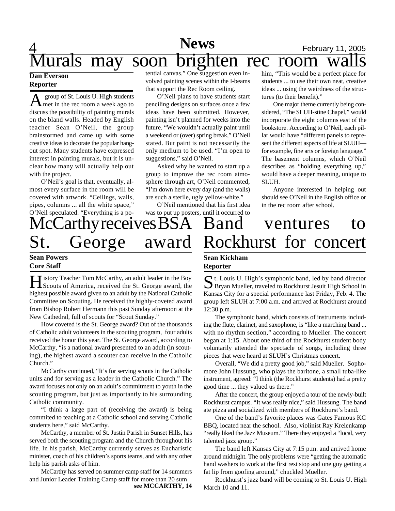## 4 **News** February 11, 2005 Murals may soon brighten rec room walls him, "This would be a perfect place for

### **Dan Everson Reporter**

A group of St. Louis U. High students group of St. Louis U. High students discuss the possibility of painting murals on the bland walls. Headed by English teacher Sean O'Neil, the group brainstormed and came up with some creative ideas to decorate the popular hangout spot. Many students have expressed interest in painting murals, but it is unclear how many will actually help out with the project.

O'Neil's goal is that, eventually, almost every surface in the room will be covered with artwork. "Ceilings, walls, pipes, columns ... all the white space," O'Neil speculated. "Everything is a potential canvas." One suggestion even involved painting scenes within the I-beams that support the Rec Room ceiling.

O'Neil plans to have students start penciling designs on surfaces once a few ideas have been submitted. However, painting isn't planned for weeks into the future. "We wouldn't actually paint until a weekend or (over) spring break," O'Neil stated. But paint is not necessarily the only medium to be used. "I'm open to suggestions," said O'Neil.

Asked why he wanted to start up a group to improve the rec room atmosphere through art, O'Neil commented, "I'm down here every day (and the walls) are such a sterile, ugly yellow-white."

O'Neil mentioned that his first idea was to put up posters, until it occurred to

# McCarthy receives BSA St. George

#### **Sean Powers Core Staff**

**H** istory Teacher Tom McCarthy, an adult leader in the Boy<br>Scouts of America, received the St. George award, the I istory Teacher Tom McCarthy, an adult leader in the Boy highest possible award given to an adult by the National Catholic Committee on Scouting. He received the highly-coveted award from Bishop Robert Hermann this past Sunday afternoon at the New Cathedral, full of scouts for "Scout Sunday."

How coveted is the St. George award? Out of the thousands of Catholic adult volunteers in the scouting program, four adults received the honor this year. The St. George award, according to McCarthy, "is a national award presented to an adult (in scouting), the highest award a scouter can receive in the Catholic Church."

McCarthy continued, "It's for serving scouts in the Catholic units and for serving as a leader in the Catholic Church." The award focuses not only on an adult's commitment to youth in the scouting program, but just as importantly to his surrounding Catholic community.

"I think a large part of (receiving the award) is being commited to teaching at a Catholic school and serving Catholic students here," said McCarthy.

McCarthy, a member of St. Justin Parish in Sunset Hills, has served both the scouting program and the Church throughout his life. In his parish, McCarthy currently serves as Eucharistic minister, coach of his children's sports teams, and with any other help his parish asks of him.

McCarthy has served on summer camp staff for 14 summers and Junior Leader Training Camp staff for more than 20 sum

**see MCCARTHY, 14**

## Band ventures to award Rockhurst for concert

in the rec room after school.

SLUH.

students ... to use their own neat, creative ideas ... using the weirdness of the struc-

One major theme currently being considered, "The SLUH-stine Chapel," would incorporate the eight columns east of the bookstore. According to O'Neil, each pillar would have "different panels to represent the different aspects of life at SLUH for example, fine arts or foreign language." The basement columns, which O'Neil describes as "holding everything up," would have a deeper meaning, unique to

Anyone interested in helping out should see O'Neil in the English office or

tures (to their benefit)."

### **Sean Kickham Reporter**

St. Louis U. High's symphonic band, led by band director<br>Bryan Mueller, traveled to Rockhurst Jesuit High School in Bryan Mueller, traveled to Rockhurst Jesuit High School in Kansas City for a special performance last Friday, Feb. 4. The group left SLUH at 7:00 a.m. and arrived at Rockhurst around 12:30 p.m.

The symphonic band, which consists of instruments including the flute, clarinet, and saxophone, is "like a marching band ... with no rhythm section," according to Mueller. The concert began at 1:15. About one third of the Rockhurst student body voluntarily attended the spectacle of songs, including three pieces that were heard at SLUH's Christmas concert.

Overall, "We did a pretty good job," said Mueller. Sophomore John Hussung, who plays the baritone, a small tuba-like instrument, agreed: "I think (the Rockhurst students) had a pretty good time ... they valued us there."

After the concert, the group enjoyed a tour of the newly-built Rockhurst campus. "It was really nice," said Hussung. The band ate pizza and socialized with members of Rockhurst's band.

One of the band's favorite places was Gates Famous KC BBQ, located near the school. Also, violinist Ray Kreienkamp "really liked the Jazz Museum." There they enjoyed a "local, very talented jazz group."

The band left Kansas City at 7:15 p.m. and arrived home around midnight. The only problems were "getting the automatic hand washers to work at the first rest stop and one guy getting a fat lip from goofing around," chuckled Mueller.

Rockhurst's jazz band will be coming to St. Louis U. High March 10 and 11.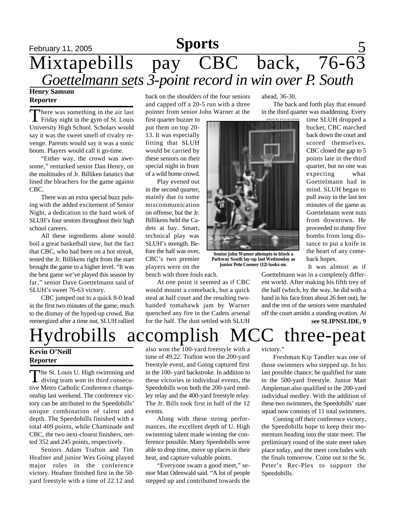## February 11, 2005 **Sports** 5 Mixtapebills pay CBC back, 76-63 **Sports** *Goettelmann sets 3-point record in win over P. South*

### **Henry Samson Reporter**

There was something in the air last<br>Friday night in the gym of St. Louis here was something in the air last University High School. Scholars would say it was the sweet smell of rivalry revenge. Parents would say it was a sonic boom. Players would call it go-time.

"Either way, the crowd was awesome," remarked senior Dan Henry, on the multitudes of Jr. Billiken fanatics that lined the bleachers for the game against CBC.

There was an extra special buzz pulsing with the added excitement of Senior Night, a dedication to the hard work of SLUH's four seniors throughout their high school careers.

All these ingredients alone would boil a great basketball stew, but the fact that CBC, who had been on a hot streak, tested the Jr. Billikens right from the start brought the game to a higher level. "It was the best game we've played this season by far," senior Dave Goettelmann said of SLUH's sweet 76-63 victory.

CBC jumped out to a quick 8-0 lead in the first two minutes of the game, much to the dismay of the hyped-up crowd. But reenergized after a time out, SLUH rallied

back on the shoulders of the four seniors and capped off a 20-5 run with a three pointer from senior John Warner at the

first quarter buzzer to put them on top 20- 13. It was especially fitting that SLUH would be carried by these seniors on their special night in front of a wild home crowd.

Play evened out in the second quarter, mainly due to some miscommunication on offense, but the Jr. Billikens held the Cadets at bay. Smart, technical play was SLUH's strength. Before the half was over, CBC's two premier players were on the bench with three fouls each.

At one point it seemed as if CBC would mount a comeback, but a quick steal at half court and the resulting twohanded tomahawk jam by Warner quenched any fire in the Cadets arsenal for the half. The dust settled with SLUH

ahead, 36-30.

OTO BY KYLE KLOSTER

The back and forth play that ensued in the third quarter was maddening. Every

**Senior John Warner attempts to block a Parkway South lay-up last Wednesday as junior Pete Cooney (12) looks on.**

time SLUH dropped a bucket, CBC marched back down the court and scored themselves. CBC closed the gap to 5 points late in the third quarter, but no one was expecting what Goettelmann had in mind. SLUH began to pull away in the last ten minutes of the game as Goettelmann went nuts from downtown. He proceeded to dump five bombs from long distance to put a knife in the heart of any comeback hopes.

It was almost as if

**see SLIPNSLIDE, 9** Goettelmann was in a completely different world. After making his fifth trey of the half (which, by the way, he did with a hand in his face from about 26 feet out), he and the rest of the seniors were marshaled off the court amidst a standing ovation. At

Hydrobills accomplish MCC three-peat

### **Kevin O'Neill Reporter**

The St. Louis U. High swimming and<br>diving team won its third consecuhe St. Louis U. High swimming and tive Metro Catholic Conference championship last weekend. The conference victory can be attributed to the Speedobills' unique combination of talent and depth. The Speedobills finished with a total 409 points, while Chaminade and CBC, the two next-closest finishers, netted 352 and 245 points, respectively.

Seniors Adam Trafton and Tim Heafner and junior Wes Going played major roles in the conference victory. Heafner finished first in the 50 yard freestyle with a time of 22.12 and

also won the  $100$ -yard freestyle with a time of 49.22. Trafton won the 200-yard freestyle event, and Going captured first in the 100- yard backstroke. In addition to these victories in individual events, the Speedobills won both the 200-yard medley relay and the 400-yard freestyle relay. The Jr. Bills took first in half of the 12 events.

Along with these strong performances, the excellent depth of U. High swimming talent made winning the conference possible. Many Speedobills were able to drop time, move up places in their heat, and capture valuable points.

"Everyone swam a good meet," senior Matt Odenwald said. "A lot of people stepped up and contributed towards the

victory."

Freshman Kip Tandler was one of those swimmers who stepped up. In his last possible chance, he qualified for state in the 500-yard freestyle. Junior Matt Ampleman also qualified in the 200-yard individual medley. With the addition of these two swimmers, the Speedobills' state squad now consists of 11 total swimmers.

Coming off their conference victory, the Speedobills hope to keep their momentum heading into the state meet. The preliminary round of the state meet takes place today, and the meet concludes with the finals tomorrow. Come out to the St. Peter's Rec-Plex to support the Speedobills.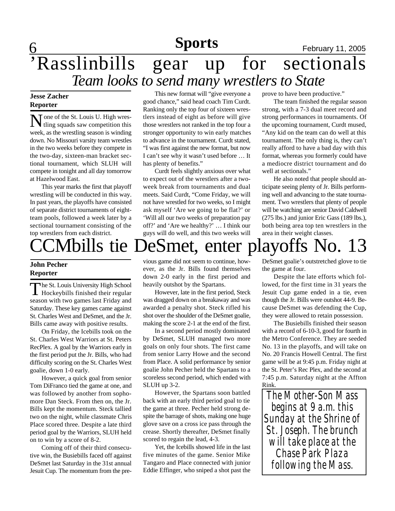## **Sports**

## **6 News CONFIDENTIAL SPOPTS Exponent February 11, 2005** 'Rasslinbills gear up for sectionals *Team looks to send many wrestlers to State*

### **Jesse Zacher Reporter**

None of the St. Louis U. High wres-<br>tling squads saw competition this Tone of the St. Louis U. High wresweek, as the wrestling season is winding down. No Missouri varsity team wrestles in the two weeks before they compete in the two-day, sixteen-man bracket sectional tournament, which SLUH will compete in tonight and all day tomorrow at Hazelwood East.

This year marks the first that playoff wrestling will be conducted in this way. In past years, the playoffs have consisted of separate district tournaments of eightteam pools, followed a week later by a sectional tournament consisting of the top wrestlers from each district.

This new format will "give everyone a good chance," said head coach Tim Curdt. Ranking only the top four of sixteen wrestlers instead of eight as before will give those wrestlers not ranked in the top four a stronger opportunity to win early matches to advance in the tournament. Curdt stated, "I was first against the new format, but now I can't see why it wasn't used before … It has plenty of benefits."

Curdt feels slightly anxious over what to expect out of the wrestlers after a twoweek break from tournaments and dual meets. Said Curdt, "Come Friday, we will not have wrestled for two weeks, so I might ask myself 'Are we going to be flat?' or 'Will all our two weeks of preparation pay off?' and 'Are we healthy?' … I think our guys will do well, and this two weeks will

prove to have been productive."

The team finished the regular season strong, with a 7-3 dual meet record and strong performances in tournaments. Of the upcoming tournament, Curdt mused, "Any kid on the team can do well at this tournament. The only thing is, they can't really afford to have a bad day with this format, whereas you formerly could have a mediocre district tournament and do well at sectionals."

He also noted that people should anticipate seeing plenty of Jr. Bills performing well and advancing to the state tournament. Two wrestlers that plenty of people will be watching are senior David Caldwell (275 lbs.) and junior Eric Gass (189 lbs.), both being area top ten wrestlers in the area in their weight classes.

# CMbills tie DeSmet, enter playoffs No. 13

### **John Pecher Reporter**

The St. Louis University High School<br>Hockeybills finished their regular he St. Louis University High School season with two games last Friday and Saturday. These key games came against St. Charles West and DeSmet, and the Jr. Bills came away with positive results.

On Friday, the Icebills took on the St. Charles West Warriors at St. Peters RecPlex. A goal by the Warriors early in the first period put the Jr. Bills, who had difficulty scoring on the St. Charles West goalie, down 1-0 early.

However, a quick goal from senior Tom DiFranco tied the game at one, and was followed by another from sophomore Dan Steck. From then on, the Jr. Bills kept the momentum. Steck tallied two on the night, while classmate Chris Place scored three. Despite a late third period goal by the Warriors, SLUH held on to win by a score of 8-2.

Coming off of their third consecutive win, the Busiebills faced off against DeSmet last Saturday in the 31st annual Jesuit Cup. The momentum from the pre-

vious game did not seem to continue, however, as the Jr. Bills found themselves down 2-0 early in the first period and heavily outshot by the Spartans.

However, late in the first period, Steck was dragged down on a breakaway and was awarded a penalty shot. Steck rifled his shot over the shoulder of the DeSmet goalie, making the score 2-1 at the end of the first.

In a second period mostly dominated by DeSmet, SLUH managed two more goals on only four shots. The first came from senior Larry Howe and the second from Place. A solid performance by senior goalie John Pecher held the Spartans to a scoreless second period, which ended with SLUH up 3-2.

However, the Spartans soon battled back with an early third period goal to tie the game at three. Pecher held strong despite the barrage of shots, making one huge glove save on a cross ice pass through the crease. Shortly thereafter, DeSmet finally scored to regain the lead, 4-3.

Yet, the Icebills showed life in the last five minutes of the game. Senior Mike Tangaro and Place connected with junior Eddie Effinger, who sniped a shot past the

DeSmet goalie's outstretched glove to tie the game at four.

Despite the late efforts which followed, for the first time in 31 years the Jesuit Cup game ended in a tie, even though the Jr. Bills were outshot 44-9. Because DeSmet was defending the Cup, they were allowed to retain possession.

The Busiebills finished their season with a record of 6-10-3, good for fourth in the Metro Conference. They are seeded No. 13 in the playoffs, and will take on No. 20 Francis Howell Central. The first game will be at 9:45 p.m. Friday night at the St. Peter's Rec Plex, and the second at 7:45 p.m. Saturday night at the Affton Rink.

*The Mother-Son Mass begins at 9 a.m. this Sunday at the Shrine of St. Joseph. The brunch will take place at the Chase Park Plaza following the Mass.*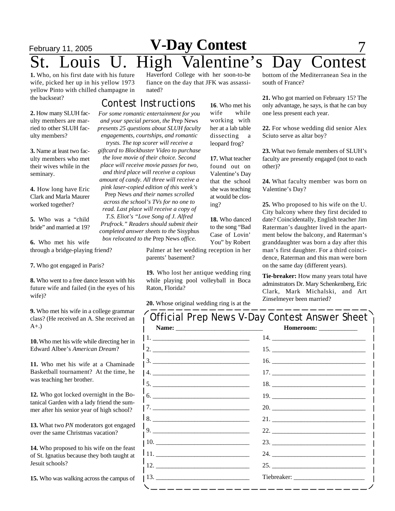## **February 11, 2005 V-Day Contest** 7 ouis U. High Valentine's Day Contest

**1.** Who, on his first date with his future wife, picked her up in his yellow 1973 yellow Pinto with chilled champagne in the backseat?

Haverford College with her soon-to-be fiance on the day that JFK was assassinated?

### *For some romantic entertainment for you Contest Instructions*

*and your special person, the* Prep News *presents 25 questions about SLUH faculty engagements, courtships, and romantic trysts. The top scorer will receive a giftcard to Blockbuster Video to purchase the love movie of their choice. Second place will receive movie passes for two, and third place will receive a copious amount of candy. All three will receive a pink laser-copied edition of this week's* Prep News *and their names scrolled across the school's TVs for no one to read. Last place will receive a copy of T.S. Eliot's "Love Song of J. Alfred Prufrock." Readers should submit their completed answer sheets to the* Sisyphus

**2.** How many SLUH faculty members are married to other SLUH faculty members?

**3.** Name at least two faculty members who met their wives while in the seminary.

**4.** How long have Eric Clark and Marla Maurer worked together?

**5.** Who was a "child bride" and married at 19?

*box relocated to the* Prep News *office.* **6.** Who met his wife through a bridge-playing friend?

**7.** Who got engaged in Paris?

**8.** Who went to a free dance lesson with his future wife and failed (in the eyes of his wife)?

**9.** Who met his wife in a college grammar class? (He received an A. She received an A+.)

**10.** Who met his wife while directing her in Edward Albee's *American Dream*?

**11.** Who met his wife at a Chaminade Basketball tournament? At the time, he was teaching her brother.

**12.** Who got locked overnight in the Botanical Garden with a lady friend the summer after his senior year of high school?

**13.** What two *PN* moderators got engaged over the same Christmas vacation?

**14.** Who proposed to his wife on the feast of St. Ignatius because they both taught at Jesuit schools?

**15.** Who was walking across the campus of

**16**. Who met his wife while working with her at a lab table dissecting a leopard frog?

**17.** What teacher found out on Valentine's Day that the school she was teaching at would be closing?

**18.** Who danced to the song "Bad Case of Lovin' You" by Robert

Palmer at her wedding reception in her parents' basement?

**19.** Who lost her antique wedding ring while playing pool volleyball in Boca Raton, Florida?

**20.** Whose original wedding ring is at the

bottom of the Mediterranean Sea in the south of France?

**21.** Who got married on February 15? The only advantage, he says, is that he can buy one less present each year.

**22.** For whose wedding did senior Alex Sciuto serve as altar boy?

**23.** What two female members of SLUH's faculty are presently engaged (not to each other)?

**24.** What faculty member was born on Valentine's Day?

**25.** Who proposed to his wife on the U. City balcony where they first decided to date? Coincidentally, English teacher Jim Raterman's daughter lived in the apartment below the balcony, and Raterman's granddaughter was born a day after this man's first daughter. For a third coincidence, Raterman and this man were born on the same day (different years).

**Tie-breaker:** How many years total have adminstrators Dr. Mary Schenkenberg, Eric Clark, Mark Michalski, and Art Zinselmeyer been married?

| Official Prep News V-Day Contest Answer Sheet                            |                        |
|--------------------------------------------------------------------------|------------------------|
|                                                                          | Homeroom: ____________ |
|                                                                          |                        |
|                                                                          |                        |
| $\begin{array}{c}\n3.\n\end{array}$                                      |                        |
| 4.                                                                       |                        |
|                                                                          |                        |
| $\begin{tabular}{c} 6. & \textcolor{red}{\textbf{---}} \\ \end{tabular}$ |                        |
|                                                                          |                        |
| 18.                                                                      |                        |
| $\frac{1}{1}$ 9.                                                         |                        |
|                                                                          |                        |
| 111.                                                                     |                        |
| $\frac{1}{12}$ .                                                         |                        |
|                                                                          |                        |
| ------------                                                             |                        |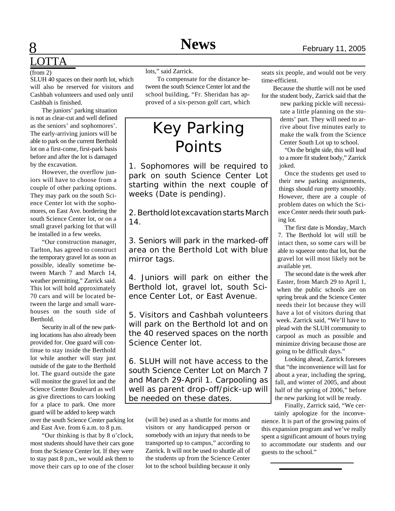## **8 News** February 11, 2005 LOTTA

### $(from 2)$

SLUH 40 spaces on their north lot, which will also be reserved for visitors and Cashbah volunteers and used only until Cashbah is finished.

The juniors' parking situation is not as clear-cut and well defined as the seniors' and sophomores'. The early-arriving juniors will be able to park on the current Berthold lot on a first-come, first-park basis before and after the lot is damaged by the excavation.

However, the overflow juniors will have to choose from a couple of other parking options. They may park on the south Science Center lot with the sophomores, on East Ave. bordering the south Science Center lot, or on a small gravel parking lot that will be installed in a few weeks.

"Our construction manager, Tarlton, has agreed to construct the temporary gravel lot as soon as possible, ideally sometime between March 7 and March 14, weather permitting," Zarrick said. This lot will hold approximately 70 cars and will be located between the large and small warehouses on the south side of **Berthold** 

Security in all of the new parking locations has also already been provided for. One guard will continue to stay inside the Berthold lot while another will stay just outside of the gate to the Berthold lot. The guard outside the gate will monitor the gravel lot and the Science Center Boulevard as well as give directions to cars looking for a place to park. One more guard will be added to keep watch over the south Science Center parking lot

and East Ave. from 6 a.m. to 8 p.m.

"Our thinking is that by 8 o'clock, most students should have their cars gone from the Science Center lot. If they were to stay past 8 p.m., we would ask them to move their cars up to one of the closer lots," said Zarrick.

To compensate for the distance between the south Science Center lot and the school building, "Fr. Sheridan has approved of a six-person golf cart, which

## Key Parking Points

1. Sophomores will be required to park on south Science Center Lot starting within the next couple of weeks (Date is pending).

2. Berthold lot excavation starts March 14.

3. Seniors will park in the marked-off area on the Berthold Lot with blue mirror tags.

4. Juniors will park on either the Berthold lot, gravel lot, south Science Center Lot, or East Avenue.

5. Visitors and Cashbah volunteers will park on the Berthold lot and on the 40 reserved spaces on the north Science Center lot.

6. SLUH will not have access to the south Science Center Lot on March 7 and March 29-April 1. Carpooling as well as parent drop-off/pick-up will be needed on these dates.

> (will be) used as a shuttle for moms and visitors or any handicapped person or somebody with an injury that needs to be transported up to campus," according to Zarrick. It will not be used to shuttle all of the students up from the Science Center lot to the school building because it only

seats six people, and would not be very time-efficient.

Because the shuttle will not be used for the student body, Zarrick said that the

> new parking pickle will necessitate a little planning on the students' part. They will need to arrive about five minutes early to make the walk from the Science Center South Lot up to school.

"On the bright side, this will lead to a more fit student body," Zarrick joked.

Once the students get used to their new parking assignments, things should run pretty smoothly. However, there are a couple of problem dates on which the Science Center needs their south parking lot.

The first date is Monday, March 7. The Berthold lot will still be intact then, so some cars will be able to squeeze onto that lot, but the gravel lot will most likely not be available yet.

The second date is the week after Easter, from March 29 to April 1, when the public schools are on spring break and the Science Center needs their lot because they will have a lot of visitors during that week. Zarrick said, "We'll have to plead with the SLUH community to carpool as much as possible and minimize driving because those are going to be difficult days."

Looking ahead, Zarrick foresees that "the inconvenience will last for about a year, including the spring, fall, and winter of 2005, and about half of the spring of 2006," before the new parking lot will be ready.

Finally, Zarrick said, "We cer-

tainly apologize for the inconvenience. It is part of the growing pains of this expansion program and we've really spent a significant amount of hours trying to accommodate our students and our guests to the school."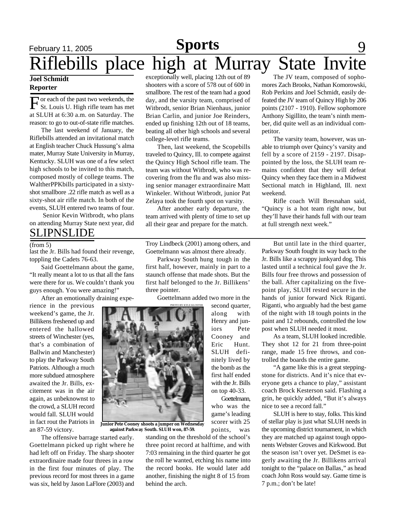# **February 11, 2005 Sports** 9 Riflebills place high at Murray State Invite

### **Joel Schmidt Reporter**

F or each of the past two weekends, the St. Louis U. High rifle team has met at SLUH at 6:30 a.m. on Saturday. The reason: to go to out-of-state rifle matches.

The last weekend of January, the Riflebills attended an invitational match at English teacher Chuck Hussung's alma mater, Murray State University in Murray, Kentucky. SLUH was one of a few select high schools to be invited to this match, composed mostly of college teams. The WaltherPPKbills participated in a sixtyshot smallbore .22 rifle match as well as a sixty-shot air rifle match. In both of the events, SLUH entered two teams of four.

 Senior Kevin Witbrodt, who plans on attending Murray State next year, did

### SLIPNSLIDE

last the Jr. Bills had found their revenge, toppling the Cadets 76-63.

Said Goettelmann about the game, "It really meant a lot to us that all the fans were there for us. We couldn't thank you guys enough. You were amazing!"

After an emotionally draining expe-

rience in the previous weekend's game, the Jr. Billikens freshened up and entered the hallowed streets of Winchester (yes, that's a combination of Ballwin and Manchester) to play the Parkway South Patriots. Although a much more subdued atmosphere awaited the Jr. Bills, excitement was in the air again, as unbeknownst to the crowd, a SLUH record would fall. SLUH would in fact rout the Patriots in an 87-59 victory.

The offensive barrage started early. Goettelmann picked up right where he had left off on Friday. The sharp shooter extraordinaire made four threes in a row in the first four minutes of play. The previous record for most threes in a game was six, held by Jason LaFlore (2003) and exceptionally well, placing 12th out of 89 shooters with a score of 578 out of 600 in smallbore. The rest of the team had a good day, and the varsity team, comprised of Witbrodt, senior Brian Nienhaus, junior Brian Carlin, and junior Joe Reinders, ended up finishing 12th out of 18 teams, beating all other high schools and several college-level rifle teams.

Then, last weekend, the Scopebills traveled to Quincy, Ill. to compete against the Quincy High School rifle team. The team was without Witbrodt, who was recovering from the flu and was also missing senior manager extraordinaire Matt Winkeler. Without Witbrodt, junior Pat Zelaya took the fourth spot on varsity.

After another early departure, the team arrived with plenty of time to set up all their gear and prepare for the match.

(from 5) Troy Lindbeck (2001) among others, and But until late in the third quarter, Goettelmann was almost there already.

> Parkway South hung tough in the first half, however, mainly in part to a staunch offense that made shots. But the first half belonged to the Jr. Billikens' three pointer.

Goettelmann added two more in the

second quarter, along with Henry and juniors Pete Cooney and Eric Hunt. SLUH definitely lived by the bomb as the first half ended with the Jr. Bills on top 40-33. Goettelmann, who was the game's leading scorer with 25



**Junior Pete Cooney shoots a jumper on Wednesday against Parkway South. SLUH won, 87-59.**

points, was standing on the threshold of the school's three point record at halftime, and with 7:03 remaining in the third quarter he got the roll he wanted, etching his name into the record books. He would later add another, finishing the night 8 of 15 from behind the arch.

The JV team, composed of sophomores Zach Brooks, Nathan Komorowski, Rob Perkins and Joel Schmidt, easily defeated the JV team of Quincy High by 206 points (2107 - 1910). Fellow sophomore Anthony Sigillito, the team's ninth member, did quite well as an individual competitor.

The varsity team, however, was unable to triumph over Quincy's varsity and fell by a score of 2159 - 2197. Disappointed by the loss, the SLUH team remains confident that they will defeat Quincy when they face them in a Midwest Sectional match in Highland, Ill. next weekend.

Rifle coach Will Bresnahan said, "Quincy is a hot team right now, but they'll have their hands full with our team at full strength next week."

Parkway South fought its way back to the Jr. Bills like a scrappy junkyard dog. This lasted until a technical foul gave the Jr. Bills four free throws and possession of the ball. After capitalizing on the fivepoint play, SLUH rested secure in the hands of junior forward Nick Riganti. Riganti, who arguably had the best game of the night with 18 tough points in the paint and 12 rebounds, controlled the low post when SLUH needed it most.

As a team, SLUH looked incredible. They shot 12 for 21 from three-point range, made 15 free throws, and controlled the boards the entire game.

"A game like this is a great steppingstone for districts. And it's nice that everyone gets a chance to play," assistant coach Brock Kesterson said. Flashing a grin, he quickly added, "But it's always nice to see a record fall."

SLUH is here to stay, folks. This kind of stellar play is just what SLUH needs in the upcoming district tournament, in which they are matched up against tough opponents Webster Groves and Kirkwood. But the season isn't over yet. DeSmet is eagerly awaiting the Jr. Billikens arrival tonight to the "palace on Ballas," as head coach John Ross would say. Game time is 7 p.m.; don't be late!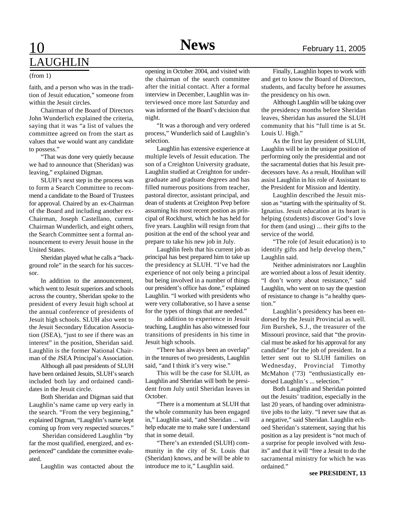# LAUGHLIN

#### (from 1)

faith, and a person who was in the tradition of Jesuit education," someone from within the Jesuit circles.

Chairman of the Board of Directors John Wunderlich explained the criteria, saying that it was "a list of values the committee agreed on from the start as values that we would want any candidate to possess."

"That was done very quietly because we had to announce that (Sheridan) was leaving," explained Digman.

SLUH's next step in the process was to form a Search Committee to recommend a candidate to the Board of Trustees for approval. Chaired by an ex-Chairman of the Board and including another ex-Chairman, Joseph Castellano, current Chairman Wunderlich, and eight others, the Search Committee sent a formal announcement to every Jesuit house in the United States.

Sheridan played what he calls a "background role" in the search for his successor.

In addition to the announcement, which went to Jesuit superiors and schools across the country, Sheridan spoke to the president of every Jesuit high school at the annual conference of presidents of Jesuit high schools. SLUH also went to the Jesuit Secondary Education Association (JSEA), "just to see if there was an interest" in the position, Sheridan said. Laughlin is the former National Chairman of the JSEA Principal's Association.

Although all past presidents of SLUH have been ordained Jesuits, SLUH's search included both lay and ordained candidates in the Jesuit circle.

Both Sheridan and Digman said that Laughlin's name came up very early in the search. "From the very beginning," explained Digman, "Laughlin's name kept coming up from very respected sources."

 Sheridan considered Laughlin "by far the most qualified, energized, and experienced" candidate the committee evaluated.

Laughlin was contacted about the

opening in October 2004, and visited with the chairman of the search committee after the initial contact. After a formal interview in December, Laughlin was interviewed once more last Saturday and was informed of the Board's decision that night.

"It was a thorough and very ordered process," Wunderlich said of Laughlin's selection.

Laughlin has extensive experience at multiple levels of Jesuit education. The son of a Creighton University graduate, Laughlin studied at Creighton for undergraduate and graduate degrees and has filled numerous positions from teacher, pastoral director, assistant principal, and dean of students at Creighton Prep before assuming his most recent postion as principal of Rockhurst, which he has held for five years. Laughlin will resign from that position at the end of the school year and prepare to take his new job in July.

Laughlin feels that his current job as principal has best prepared him to take up the presidency at SLUH. "I've had the experience of not only being a principal but being involved in a number of things our president's office has done," explained Laughlin. "I worked with presidents who were very collaborative, so I have a sense for the types of things that are needed."

In addition to experience in Jesuit teaching, Laughlin has also witnessed four transitions of presidents in his time in Jesuit high schools.

"There has always been an overlap" in the tenures of two presidents, Laughlin said, "and I think it's very wise."

This will be the case for SLUH, as Laughlin and Sheridan will both be president from July until Sheridan leaves in October.

"There is a momentum at SLUH that the whole community has been engaged in," Laughlin said, "and Sheridan ... will help educate me to make sure I understand that in some detail.

"There's an extended (SLUH) community in the city of St. Louis that (Sheridan) knows, and he will be able to introduce me to it," Laughlin said.

Finally, Laughlin hopes to work with and get to know the Board of Directors, students, and faculty before he assumes the presidency on his own.

Although Laughlin will be taking over the presidency months before Sheridan leaves, Sheridan has assured the SLUH community that his "full time is at St. Louis U. High."

As the first lay president of SLUH, Laughlin will be in the unique position of performing only the presidential and not the sacramental duties that his Jesuit predecessors have. As a result, Houlihan will assist Laughlin in his role of Assistant to the President for Mission and Identity.

Laughlin described the Jesuit mission as "starting with the spirituality of St. Ignatius. Jesuit education at its heart is helping (students) discover God's love for them (and using) ... their gifts to the service of the world.

"The role (of Jesuit education) is to identify gifts and help develop them," Laughlin said.

Neither administrators nor Laughlin are worried about a loss of Jesuit identity. "I don't worry about resistance," said Laughlin, who went on to say the question of resistance to change is "a healthy question."

Laughlin's presidency has been endorsed by the Jesuit Provincial as well. Jim Burshek, S.J., the treasurer of the Missouri province, said that "the provincial must be asked for his approval for any candidate" for the job of president. In a letter sent out to SLUH families on Wednesday, Provincial Timothy McMahon ('73) "enthusiastically endorsed Laughlin's ... selection."

Both Laughlin and Sheridan pointed out the Jesuits' tradition, especially in the last 20 years, of handing over administrative jobs to the laity. "I never saw that as a negative," said Sheridan. Laughlin echoed Sheridan's statement, saying that his position as a lay president is "not much of a surprise for people involved with Jesuits" and that it will "free a Jesuit to do the sacramental ministry for which he was ordained."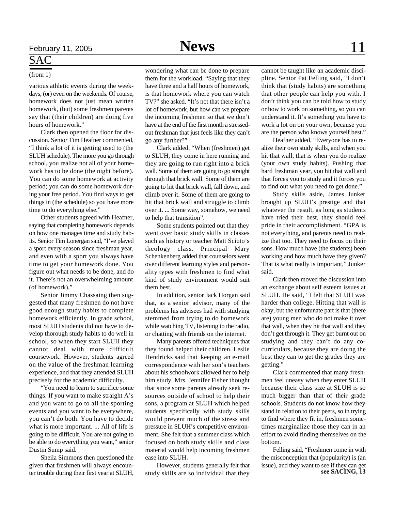## SAC

### (from 1)

various athletic events during the weekdays, (or) even on the weekends. Of course, homework does not just mean written homework, (but) some freshmen parents say that (their children) are doing five hours of homework."

Clark then opened the floor for discussion. Senior Tim Heafner commented, "I think a lot of it is getting used to (the SLUH schedule). The more you go through school, you realize not all of your homework has to be done (the night before). You can do some homework at activity period; you can do some homework during your free period. You find ways to get things in (the schedule) so you have more time to do everything else."

Other students agreed with Heafner, saying that completing homework depends on how one manages time and study habits. Senior Tim Lonergan said, "I've played a sport every season since freshman year, and even with a sport you always have time to get your homework done. You figure out what needs to be done, and do it. There's not an overwhelming amount (of homework)."

Senior Jimmy Chassaing then suggested that many freshmen do not have good enough study habits to complete homework efficiently. In grade school, most SLUH students did not have to develop thorough study habits to do well in school, so when they start SLUH they cannot deal with more difficult coursework. However, students agreed on the value of the freshman learning experience, and that they attended SLUH precisely for the academic difficulty.

"You need to learn to sacrifice some things. If you want to make straight A's and you want to go to all the sporting events and you want to be everywhere, you can't do both. You have to decide what is more important. ... All of life is going to be difficult. You are not going to be able to do everything you want," senior Dustin Sump said.

Sheila Simmons then questioned the given that freshmen will always encounter trouble during their first year at SLUH, wondering what can be done to prepare them for the workload. "Saying that they have three and a half hours of homework, is that homework where you can watch TV?" she asked. "It's not that there isn't a lot of homework, but how can we prepare the incoming freshmen so that we don't have at the end of the first month a stressedout freshman that just feels like they can't go any further?"

Clark added, "When (freshmen) get to SLUH, they come in here running and they are going to run right into a brick wall. Some of them are going to go straight through that brick wall. Some of them are going to hit that brick wall, fall down, and climb over it. Some of them are going to hit that brick wall and struggle to climb over it. ... Some way, somehow, we need to help that transition".

Some students pointed out that they went over basic study skills in classes such as history or teacher Matt Sciuto's theology class. Principal Mary Schenkenberg added that counselors went over different learning styles and personality types with freshmen to find what kind of study environment would suit them best.

In addition, senior Jack Horgan said that, as a senior advisor, many of the problems his advisees had with studying stemmed from trying to do homework while watching TV, listening to the radio, or chatting with friends on the internet.

Many parents offered techniques that they found helped their children. Leslie Hendricks said that keeping an e-mail correspondence with her son's teachers about his schoolwork allowed her to help him study. Mrs. Jennifer Fisher thought that since some parents already seek resources outside of school to help their sons, a program at SLUH which helped students specifically with study skills would prevent much of the stress and pressure in SLUH's competitive environment. She felt that a summer class which focused on both study skills and class material would help incoming freshmen ease into SLUH.

However, students generally felt that study skills are so individual that they

cannot be taught like an academic discipline. Senior Pat Felling said, "I don't think that (study habits) are something that other people can help you with. I don't think you can be told how to study or how to work on something, so you can understand it. It's something you have to work a lot on on your own, because you are the person who knows yourself best."

Heafner added, "Everyone has to realize their own study skills, and when you hit that wall, that is when you do realize (your own study habits). Pushing that hard freshman year, you hit that wall and that forces you to study and it forces you to find out what you need to get done."

Study skills aside, James Junker brought up SLUH's prestige and that whatever the result, as long as students have tried their best, they should feel pride in their accomplishment. "GPA is not everything, and parents need to realize that too. They need to focus on their sons. How much have (the students) been working and how much have they given? That is what really is important," Junker said.

Clark then moved the discussion into an exchange about self esteem issues at SLUH. He said, "I felt that SLUH was harder than college. Hitting that wall is okay, but the unfortunate part is that (there are) young men who do not make it over that wall, when they hit that wall and they don't get through it. They get burnt out on studying and they can't do any cocurriculars, because they are doing the best they can to get the grades they are getting."

Clark commented that many freshmen feel uneasy when they enter SLUH because their class size at SLUH is so much bigger than that of their grade schools. Students do not know how they stand in relation to their peers, so in trying to find where they fit in, freshmen sometimes marginalize those they can in an effort to avoid finding themselves on the bottom.

Felling said, "Freshmen come in with the misconception that (popularity) is (an issue), and they want to see if they can get **see SACING, 13**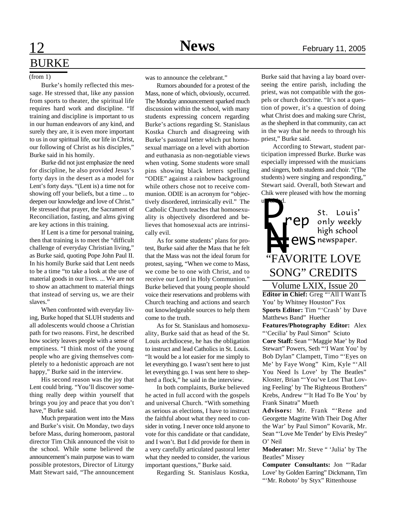## **12 News** February 11, 2005 BURKE

### (from 1)

Burke's homily reflected this message. He stressed that, like any passion from sports to theater, the spiritual life requires hard work and discipline. "If training and discipline is important to us in our human endeavors of any kind, and surely they are, it is even more important to us in our spiritual life, our life in Christ, our following of Christ as his disciples," Burke said in his homily.

Burke did not just emphasize the need for discipline, he also provided Jesus's forty days in the desert as a model for Lent's forty days. "(Lent is) a time not for showing off your beliefs, but a time ... to deepen our knowledge and love of Christ." He stressed that prayer, the Sacrament of Reconciliation, fasting, and alms giving are key actions in this training.

If Lent is a time for personal training, then that training is to meet the "difficult challenge of everyday Christian living," as Burke said, quoting Pope John Paul II. In his homily Burke said that Lent needs to be a time "to take a look at the use of material goods in our lives. ... We are not to show an attachment to material things that instead of serving us, we are their slaves."

When confronted with everyday living, Burke hoped that SLUH students and all adolescents would choose a Christian path for two reasons. First, he described how society leaves people with a sense of emptiness. "I think most of the young people who are giving themselves completely to a hedonistic approach are not happy," Burke said in the interview.

His second reason was the joy that Lent could bring. "You'll discover something really deep within yourself that brings you joy and peace that you don't have," Burke said.

Much preparation went into the Mass and Burke's visit. On Monday, two days before Mass, during homeroom, pastoral director Tim Chik announced the visit to the school. While some believed the announcement's main purpose was to warn possible protestors, Director of Liturgy Matt Stewart said, "The announcement

was to announce the celebrant."

Rumors abounded for a protest of the Mass, none of which, obviously, occurred. The Monday announcement sparked much discussion within the school, with many students expressing concern regarding Burke's actions regarding St. Stanislaus Kostka Church and disagreeing with Burke's pastoral letter which put homosexual marriage on a level with abortion and euthanasia as non-negotiable views when voting. Some students wore small pins showing black letters spelling "ODIE" against a rainbow background while others chose not to receive communion. ODIE is an acronym for "objectively disordered, intrinsically evil." The Catholic Church teaches that homosexuality is objectively disordered and believes that homosexual acts are intrinsically evil.

As for some students' plans for protest, Burke said after the Mass that he felt that the Mass was not the ideal forum for protest, saying, "When we come to Mass, we come be to one with Christ, and to receive our Lord in Holy Communion." Burke believed that young people should voice their reservations and problems with Church teaching and actions and search out knowledgeable sources to help them come to the truth.

As for St. Stanislaus and homosexuality, Burke said that as head of the St. Louis archdiocese, he has the obligation to instruct and lead Catholics in St. Louis. "It would be a lot easier for me simply to let everything go. I wasn't sent here to just let everything go. I was sent here to shepherd a flock," he said in the interview.

In both complaints, Burke believed he acted in full accord with the gospels and universal Church. "With something as serious as elections, I have to instruct the faithful about what they need to consider in voting. I never once told anyone to vote for this candidate or that candidate, and I won't. But I did provide for them in a very carefully articulated pastoral letter what they needed to consider, the various important questions," Burke said.

Regarding St. Stanislaus Kostka,

Burke said that having a lay board overseeing the entire parish, including the priest, was not compatible with the gospels or church doctrine. "It's not a question of power, it's a question of doing what Christ does and making sure Christ, as the shepherd in that community, can act in the way that he needs to through his priest," Burke said.

According to Stewart, student participation impressed Burke. Burke was especially impressed with the musicians and singers, both students and choir. "(The students) were singing and responding," Stewart said. Overall, both Stewart and Chik were pleased with how the morning

## un folked. "FAVORITE LOVE SONG" CREDITS **N=**<br>"FAV *St.* Louis'<br> **P**<sup>*P*</sup> only weekly high school *ews*

Volume LXIX, Issue 20 **Editor in Chief:** Greg "'All I Want Is You' by Whitney Houston" Fox **Sports Editor:** Tim "'Crash' by Dave Matthews Band" Huether **Features/Photography Editor:** Alex "'Cecilia' by Paul Simon" Sciuto **Core Staff:** Sean "'Maggie Mae' by Rod Stewart" Powers, Seth "'I Want You' by Bob Dylan" Clampett, Timo "'Eyes on Me' by Faye Wong" Kim, Kyle "'All You Need Is Love' by The Beatles" Kloster, Brian "'You've Lost That Lov-

ing Feeling' by The Righteous Brothers" Krebs, Andrew "'It Had To Be You' by Frank Sinatra" Mueth

**Advisors:** Mr. Frank "'Rene and Georgette Magritte With Their Dog After the War' by Paul Simon" Kovarik, Mr. Sean "'Love Me Tender' by Elvis Presley" O' Neil

**Moderator:** Mr. Steve " 'Julia' by The Beatles" Missey

**Computer Consultants:** Jon "'Radar Love' by Golden Earring" Dickmann, Tim "'Mr. Roboto' by Styx" Rittenhouse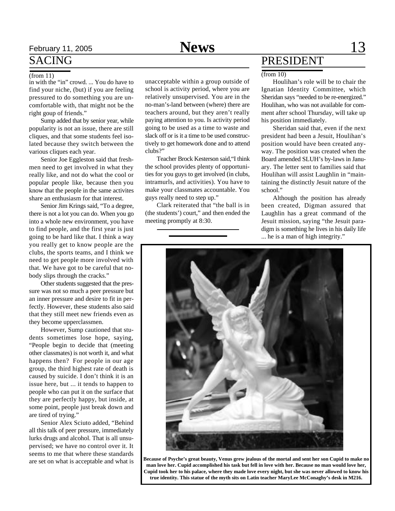## February 11, 2005 **News** 13

## SACING

### (from 11)

in with the "in" crowd. ... You do have to find your niche, (but) if you are feeling pressured to do something you are uncomfortable with, that might not be the right goup of friends."

Sump added that by senior year, while popularity is not an issue, there are still cliques, and that some students feel isolated because they switch between the various cliques each year.

Senior Joe Eggleston said that freshmen need to get involved in what they really like, and not do what the cool or popular people like, because then you know that the people in the same activites share an enthusiasm for that interest.

Senior Jim Krings said, "To a degree, there is not a lot you can do. When you go into a whole new environment, you have to find people, and the first year is just going to be hard like that. I think a way you really get to know people are the clubs, the sports teams, and I think we need to get people more involved with that. We have got to be careful that nobody slips through the cracks."

Other students suggested that the pressure was not so much a peer pressure but an inner pressure and desire to fit in perfectly. However, these students also said that they still meet new friends even as they become upperclassmen.

However, Sump cautioned that students sometimes lose hope, saying, "People begin to decide that (meeting other classmates) is not worth it, and what happens then? For people in our age group, the third highest rate of death is caused by suicide. I don't think it is an issue here, but ... it tends to happen to people who can put it on the surface that they are perfectly happy, but inside, at some point, people just break down and are tired of trying."

Senior Alex Sciuto added, "Behind all this talk of peer pressure, immediately lurks drugs and alcohol. That is all unsupervised; we have no control over it. It seems to me that where these standards are set on what is acceptable and what is

unacceptable within a group outside of school is activity period, where you are relatively unsupervised. You are in the no-man's-land between (where) there are teachers around, but they aren't really paying attention to you. Is activity period going to be used as a time to waste and slack off or is it a time to be used constructively to get homework done and to attend clubs?"

Teacher Brock Kesterson said,"I think the school provides plenty of opportunities for you guys to get involved (in clubs, intramurls, and activities). You have to make your classmates accountable. You guys really need to step up."

Clark reiterated that "the ball is in (the students') court," and then ended the meeting promptly at 8:30.

### PRESIDENT

### $(from 10)$

Houlihan's role will be to chair the Ignatian Identity Committee, which Sheridan says "needed to be re-energized." Houlihan, who was not available for comment after school Thursday, will take up his position immediately.

Sheridan said that, even if the next president had been a Jesuit, Houlihan's position would have been created anyway. The position was created when the Board amended SLUH's by-laws in January. The letter sent to families said that Houlihan will assist Laughlin in "maintaining the distinctly Jesuit nature of the school."

Although the position has already been created, Digman assured that Laughlin has a great command of the Jesuit mission, saying "the Jesuit paradigm is something he lives in his daily life ... he is a man of high integrity."



**Because of Psyche's great beauty, Venus grew jealous of the mortal and sent her son Cupid to make no man love her. Cupid accomplished his task but fell in love with her. Because no man would love her, Cupid took her to his palace, where they made love every night, but she was never allowed to know his true identity. This statue of the myth sits on Latin teacher MaryLee McConaghy's desk in M216.**